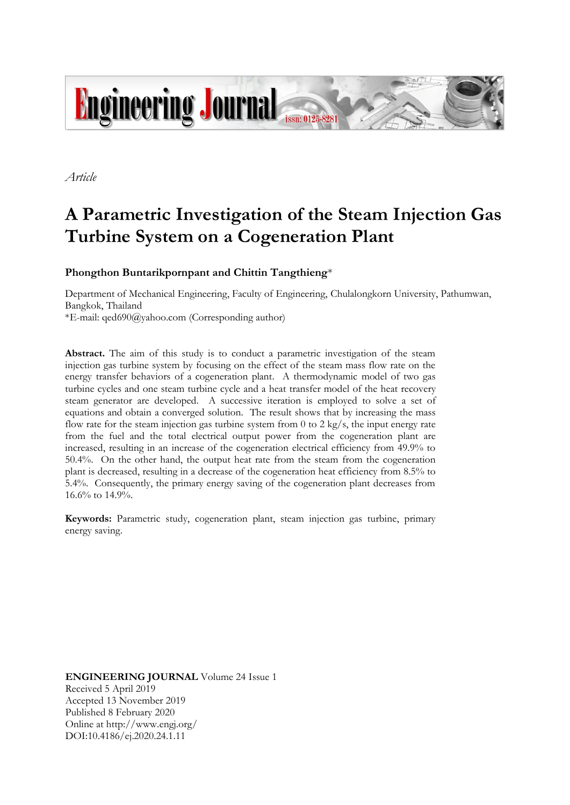

*Article*

# **A Parametric Investigation of the Steam Injection Gas Turbine System on a Cogeneration Plant**

**Phongthon Buntarikpornpant and Chittin Tangthieng**\*

Department of Mechanical Engineering, Faculty of Engineering, Chulalongkorn University, Pathumwan, Bangkok, Thailand

\*E-mail: qed690@yahoo.com (Corresponding author)

Abstract. The aim of this study is to conduct a parametric investigation of the steam injection gas turbine system by focusing on the effect of the steam mass flow rate on the energy transfer behaviors of a cogeneration plant. A thermodynamic model of two gas turbine cycles and one steam turbine cycle and a heat transfer model of the heat recovery steam generator are developed. A successive iteration is employed to solve a set of equations and obtain a converged solution. The result shows that by increasing the mass flow rate for the steam injection gas turbine system from 0 to 2 kg/s, the input energy rate from the fuel and the total electrical output power from the cogeneration plant are increased, resulting in an increase of the cogeneration electrical efficiency from 49.9% to 50.4%. On the other hand, the output heat rate from the steam from the cogeneration plant is decreased, resulting in a decrease of the cogeneration heat efficiency from 8.5% to 5.4%. Consequently, the primary energy saving of the cogeneration plant decreases from 16.6% to 14.9%.

**Keywords:** Parametric study, cogeneration plant, steam injection gas turbine, primary energy saving.

**ENGINEERING JOURNAL** Volume 24 Issue 1 Received 5 April 2019 Accepted 13 November 2019 Published 8 February 2020 Online at http://www.engj.org/ DOI:10.4186/ej.2020.24.1.11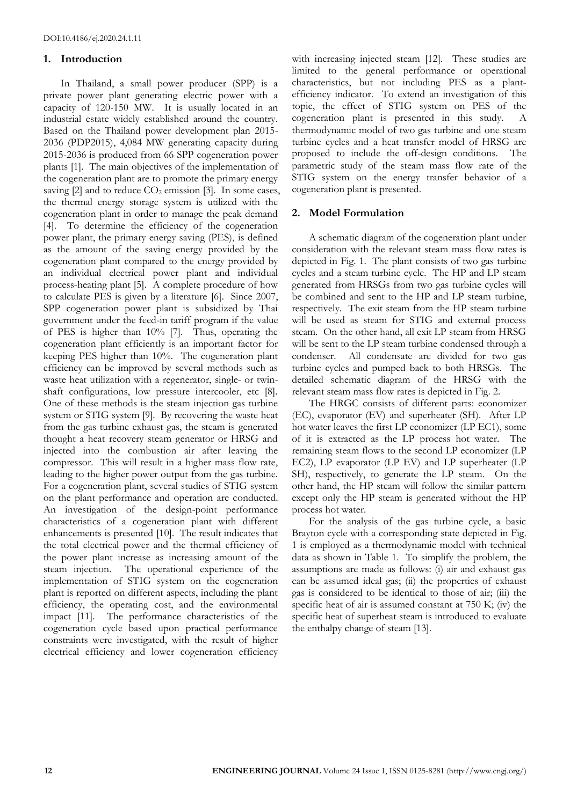## **1. Introduction**

In Thailand, a small power producer (SPP) is a private power plant generating electric power with a capacity of 120-150 MW. It is usually located in an industrial estate widely established around the country. Based on the Thailand power development plan 2015- 2036 (PDP2015), 4,084 MW generating capacity during 2015-2036 is produced from 66 SPP cogeneration power plants [1]. The main objectives of the implementation of the cogeneration plant are to promote the primary energy saving  $[2]$  and to reduce  $CO<sub>2</sub>$  emission  $[3]$ . In some cases, the thermal energy storage system is utilized with the cogeneration plant in order to manage the peak demand [4]. To determine the efficiency of the cogeneration power plant, the primary energy saving (PES), is defined as the amount of the saving energy provided by the cogeneration plant compared to the energy provided by an individual electrical power plant and individual process-heating plant [5]. A complete procedure of how to calculate PES is given by a literature [6]. Since 2007, SPP cogeneration power plant is subsidized by Thai government under the feed-in tariff program if the value of PES is higher than 10% [7]. Thus, operating the cogeneration plant efficiently is an important factor for keeping PES higher than 10%. The cogeneration plant efficiency can be improved by several methods such as waste heat utilization with a regenerator, single- or twinshaft configurations, low pressure intercooler, etc [8]. One of these methods is the steam injection gas turbine system or STIG system [9]. By recovering the waste heat from the gas turbine exhaust gas, the steam is generated thought a heat recovery steam generator or HRSG and injected into the combustion air after leaving the compressor. This will result in a higher mass flow rate, leading to the higher power output from the gas turbine. For a cogeneration plant, several studies of STIG system on the plant performance and operation are conducted. An investigation of the design-point performance characteristics of a cogeneration plant with different enhancements is presented [10]. The result indicates that the total electrical power and the thermal efficiency of the power plant increase as increasing amount of the steam injection. The operational experience of the implementation of STIG system on the cogeneration plant is reported on different aspects, including the plant efficiency, the operating cost, and the environmental impact [11]. The performance characteristics of the cogeneration cycle based upon practical performance constraints were investigated, with the result of higher electrical efficiency and lower cogeneration efficiency

with increasing injected steam [12]. These studies are limited to the general performance or operational characteristics, but not including PES as a plantefficiency indicator. To extend an investigation of this topic, the effect of STIG system on PES of the cogeneration plant is presented in this study. thermodynamic model of two gas turbine and one steam turbine cycles and a heat transfer model of HRSG are proposed to include the off-design conditions. The parametric study of the steam mass flow rate of the STIG system on the energy transfer behavior of a cogeneration plant is presented.

## **2. Model Formulation**

A schematic diagram of the cogeneration plant under consideration with the relevant steam mass flow rates is depicted in Fig. 1. The plant consists of two gas turbine cycles and a steam turbine cycle. The HP and LP steam generated from HRSGs from two gas turbine cycles will be combined and sent to the HP and LP steam turbine, respectively. The exit steam from the HP steam turbine will be used as steam for STIG and external process steam. On the other hand, all exit LP steam from HRSG will be sent to the LP steam turbine condensed through a condenser. All condensate are divided for two gas turbine cycles and pumped back to both HRSGs. The detailed schematic diagram of the HRSG with the relevant steam mass flow rates is depicted in Fig. 2.

The HRGC consists of different parts: economizer (EC), evaporator (EV) and superheater (SH). After LP hot water leaves the first LP economizer (LP EC1), some of it is extracted as the LP process hot water. The remaining steam flows to the second LP economizer (LP EC2), LP evaporator (LP EV) and LP superheater (LP SH), respectively, to generate the LP steam. On the other hand, the HP steam will follow the similar pattern except only the HP steam is generated without the HP process hot water.

For the analysis of the gas turbine cycle, a basic Brayton cycle with a corresponding state depicted in Fig. 1 is employed as a thermodynamic model with technical data as shown in Table 1. To simplify the problem, the assumptions are made as follows: (i) air and exhaust gas can be assumed ideal gas; (ii) the properties of exhaust gas is considered to be identical to those of air; (iii) the specific heat of air is assumed constant at 750 K; (iv) the specific heat of superheat steam is introduced to evaluate the enthalpy change of steam [13].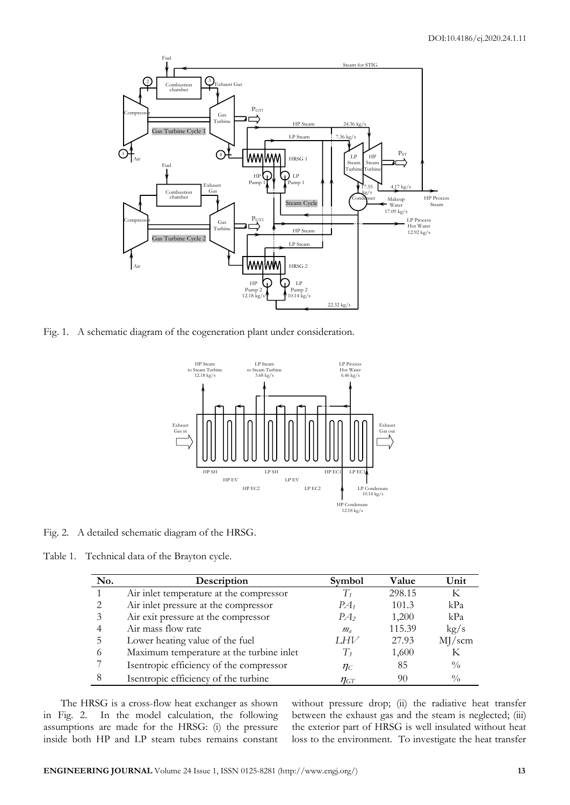

Fig. 1. A schematic diagram of the cogeneration plant under consideration.



Fig. 2. A detailed schematic diagram of the HRSG.

Table 1. Technical data of the Brayton cycle.

| No. | Description                              | <b>Symbol</b>   | Value  | Unit          |
|-----|------------------------------------------|-----------------|--------|---------------|
|     | Air inlet temperature at the compressor  |                 | 298.15 | K             |
| っ   | Air inlet pressure at the compressor     | $PA_1$          | 101.3  | kPa           |
|     | Air exit pressure at the compressor      | PA <sub>2</sub> | 1,200  | kPa           |
|     | Air mass flow rate                       | $m_{a}$         | 115.39 | kg/s          |
|     | Lower heating value of the fuel          | I HV            | 27.93  | MJ/scm        |
|     | Maximum temperature at the turbine inlet | T,              | 1,600  | К             |
|     | Isentropic efficiency of the compressor  | $\eta_c$        | 85     | $\frac{0}{0}$ |
| 8   | Isentropic efficiency of the turbine     | $\eta_{GT}$     | 90     | $\frac{0}{0}$ |

The HRSG is a cross-flow heat exchanger as shown in Fig. 2. In the model calculation, the following assumptions are made for the HRSG: (i) the pressure inside both HP and LP steam tubes remains constant without pressure drop; (ii) the radiative heat transfer between the exhaust gas and the steam is neglected; (iii) the exterior part of HRSG is well insulated without heat loss to the environment. To investigate the heat transfer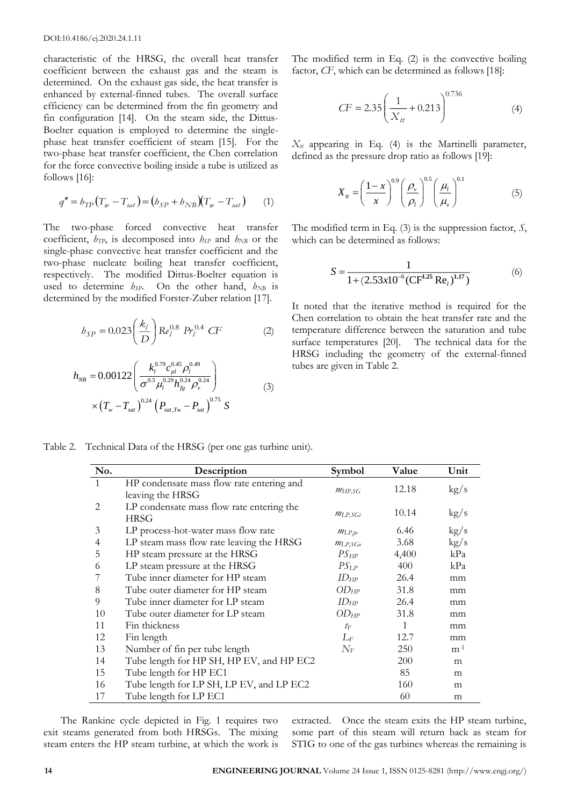characteristic of the HRSG, the overall heat transfer coefficient between the exhaust gas and the steam is determined. On the exhaust gas side, the heat transfer is enhanced by external-finned tubes. The overall surface efficiency can be determined from the fin geometry and fin configuration [14]. On the steam side, the Dittus-Boelter equation is employed to determine the singlephase heat transfer coefficient of steam [15]. For the two-phase heat transfer coefficient, the Chen correlation for the force convective boiling inside a tube is utilized as follows [16]:

$$
q'' = b_{TP}(T_w - T_{sat}) = (b_{SP} + b_{NB})(T_w - T_{sat})
$$
 (1)

The two-phase forced convective heat transfer coefficient, *hTP*, is decomposed into *hSP* and *hNB* or the single-phase convective heat transfer coefficient and the two-phase nucleate boiling heat transfer coefficient, respectively. The modified Dittus-Boelter equation is used to determine  $h_{SP}$ . On the other hand,  $h_{NB}$  is determined by the modified Forster-Zuber relation [17].

$$
h_{SP} = 0.023 \left(\frac{k_l}{D}\right) \text{Re}_l^{0.8} \ Pr_l^{0.4} \ CF \tag{2}
$$

$$
h_{NB} = 0.00122 \left( \frac{k_l^{0.79} c_{pl}^{0.45} \rho_l^{0.49}}{\sigma^{0.5} \mu_l^{0.29} h_{fg}^{0.24} \rho_v^{0.24}} \right) \times \left( T_w - T_{sat} \right)^{0.24} \left( P_{sat, Tw} - P_{sat} \right)^{0.75} S
$$
 (3)

The modified term in Eq. (2) is the convective boiling factor, *CF*, which can be determined as follows [18]:

$$
CF = 2.35 \left( \frac{1}{X_{tt}} + 0.213 \right)^{0.736}
$$
 (4)

 $X_t$  appearing in Eq. (4) is the Martinelli parameter, defined as the pressure drop ratio as follows [19]:

$$
X_{tt} = \left(\frac{1-x}{x}\right)^{0.9} \left(\frac{\rho_v}{\rho_l}\right)^{0.5} \left(\frac{\mu_l}{\mu_v}\right)^{0.1} \tag{5}
$$

The modified term in Eq. (3) is the suppression factor, *S*, which can be determined as follows:

$$
S = \frac{1}{1 + (2.53 \times 10^{-6} (\text{CF}^{1.25} \text{Re}_l)^{1.17})}
$$
(6)

It noted that the iterative method is required for the Chen correlation to obtain the heat transfer rate and the temperature difference between the saturation and tube surface temperatures [20]. The technical data for the HRSG including the geometry of the external-finned tubes are given in Table 2.

Table 2. Technical Data of the HRSG (per one gas turbine unit).

| No. | Description                                                   | Symbol      | Value | Unit  |
|-----|---------------------------------------------------------------|-------------|-------|-------|
| 1   | HP condensate mass flow rate entering and<br>leaving the HRSG | MHP,SG      | 12.18 | kg/s  |
| 2   | LP condensate mass flow rate entering the<br><b>HRSG</b>      | MLP, SGi    | 10.14 | kg/s  |
| 3   | LP process-hot-water mass flow rate                           | $m_{LP,bc}$ | 6.46  | kg/s  |
| 4   | LP steam mass flow rate leaving the HRSG                      | MLP,SGo     | 3.68  | kg/s  |
| 5   | HP steam pressure at the HRSG                                 | $PS_{HP}$   | 4,400 | kPa   |
| 6   | LP steam pressure at the HRSG                                 | $PS_{LP}$   | 400   | kPa   |
|     | Tube inner diameter for HP steam                              | $ID_{HP}$   | 26.4  | mm    |
| 8   | Tube outer diameter for HP steam                              | $OD_{HP}$   | 31.8  | mm    |
| 9   | Tube inner diameter for LP steam                              | $ID_{HP}$   | 26.4  | mm    |
| 10  | Tube outer diameter for LP steam                              | $OD_{HP}$   | 31.8  | mm    |
| 11  | Fin thickness                                                 | $t_{\rm F}$ | 1     | mm    |
| 12  | Fin length                                                    | $L_F$       | 12.7  | mm    |
| 13  | Number of fin per tube length                                 | $N_F$       | 250   | $m-1$ |
| 14  | Tube length for HP SH, HP EV, and HP EC2                      |             | 200   | m     |
| 15  | Tube length for HP EC1                                        |             | 85    | m     |
| 16  | Tube length for LP SH, LP EV, and LP EC2                      |             | 160   | m     |
| 17  | Tube length for LP EC1                                        |             | 60    | m     |

The Rankine cycle depicted in Fig. 1 requires two exit steams generated from both HRSGs. The mixing steam enters the HP steam turbine, at which the work is

extracted. Once the steam exits the HP steam turbine, some part of this steam will return back as steam for STIG to one of the gas turbines whereas the remaining is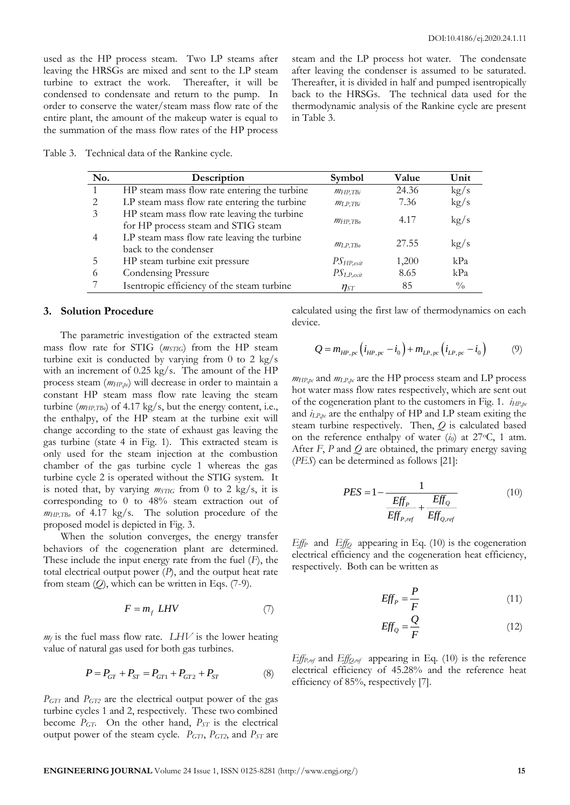used as the HP process steam. Two LP steams after leaving the HRSGs are mixed and sent to the LP steam turbine to extract the work. Thereafter, it will be condensed to condensate and return to the pump. In order to conserve the water/steam mass flow rate of the entire plant, the amount of the makeup water is equal to the summation of the mass flow rates of the HP process

steam and the LP process hot water. The condensate after leaving the condenser is assumed to be saturated. Thereafter, it is divided in half and pumped isentropically back to the HRSGs. The technical data used for the thermodynamic analysis of the Rankine cycle are present in Table 3.

Table 3. Technical data of the Rankine cycle.

| No. | Description                                                                        | Symbol                      | Value | Unit          |
|-----|------------------------------------------------------------------------------------|-----------------------------|-------|---------------|
|     | HP steam mass flow rate entering the turbine                                       | $m_{HP, TBi}$               | 24.36 | kg/s          |
|     | LP steam mass flow rate entering the turbine                                       | MLP.TBi                     | 7.36  | kg/s          |
| 3   | HP steam mass flow rate leaving the turbine<br>for HP process steam and STIG steam | $M_{\text{HP},\text{TB}_0}$ | 4.17  | kg/s          |
|     | LP steam mass flow rate leaving the turbine<br>back to the condenser               | MLP.TBo                     | 27.55 | kg/s          |
| 5   | HP steam turbine exit pressure                                                     | $PS_{HP, exit}$             | 1,200 | kPa           |
| 6   | <b>Condensing Pressure</b>                                                         | $PS_{LP, exit}$             | 8.65  | kPa           |
|     | Isentropic efficiency of the steam turbine                                         | $\eta_{ST}$                 | 85    | $\frac{0}{0}$ |

#### **3. Solution Procedure**

The parametric investigation of the extracted steam mass flow rate for STIG (*mSTIG*) from the HP steam turbine exit is conducted by varying from 0 to 2 kg/s with an increment of 0.25 kg/s. The amount of the HP process steam (*mHP,pc*) will decrease in order to maintain a constant HP steam mass flow rate leaving the steam turbine (*mHP,TBo*) of 4.17 kg/s, but the energy content, i.e., the enthalpy, of the HP steam at the turbine exit will change according to the state of exhaust gas leaving the gas turbine (state 4 in Fig. 1). This extracted steam is only used for the steam injection at the combustion chamber of the gas turbine cycle 1 whereas the gas turbine cycle 2 is operated without the STIG system. It is noted that, by varying *mSTIG* from 0 to 2 kg/s, it is corresponding to 0 to 48% steam extraction out of *mHP,TBo* of 4.17 kg/s. The solution procedure of the proposed model is depicted in Fig. 3.

When the solution converges, the energy transfer behaviors of the cogeneration plant are determined. These include the input energy rate from the fuel (*F*), the total electrical output power (*P*), and the output heat rate from steam (*Q*), which can be written in Eqs. (7-9).

$$
F = m_f \, LHV \tag{7}
$$

 $m_f$  is the fuel mass flow rate. *LHV* is the lower heating value of natural gas used for both gas turbines.

$$
P = P_{GT} + P_{ST} = P_{GT1} + P_{GT2} + P_{ST}
$$
 (8)

*PGT1* and *PGT2* are the electrical output power of the gas turbine cycles 1 and 2, respectively. These two combined become *PGT*. On the other hand, *PST* is the electrical output power of the steam cycle. *PGT1*, *PGT2*, and *PST* are

calculated using the first law of thermodynamics on each device.

$$
Q = m_{HP,pc} \left( i_{HP,pc} - i_0 \right) + m_{LP,pc} \left( i_{LP,pc} - i_0 \right) \tag{9}
$$

 $m_{HP,pc}$  and  $m_{LP,pc}$  are the HP process steam and LP process hot water mass flow rates respectively, which are sent out of the cogeneration plant to the customers in Fig. 1. *iHP,pc* and *iLP,pc* are the enthalpy of HP and LP steam exiting the steam turbine respectively. Then, *Q* is calculated based on the reference enthalpy of water  $(i_0)$  at 27<sup>o</sup>C, 1 atm. After *F*, *P* and *Q* are obtained, the primary energy saving (*PES*) can be determined as follows [21]:

$$
PES = 1 - \frac{1}{\frac{Eff_P}{Eff_{P,ref}} + \frac{Eff_Q}{Eff_{Q,ref}}}
$$
(10)

*EffP* and *EffQ* appearing in Eq. (10) is the cogeneration electrical efficiency and the cogeneration heat efficiency, respectively. Both can be written as

$$
EffP = \frac{P}{F}
$$
 (11)

$$
Eff_Q = \frac{Q}{F} \tag{12}
$$

*EffP,ref* and *EffQ,ref* appearing in Eq. (10) is the reference electrical efficiency of 45.28% and the reference heat efficiency of 85%, respectively [7].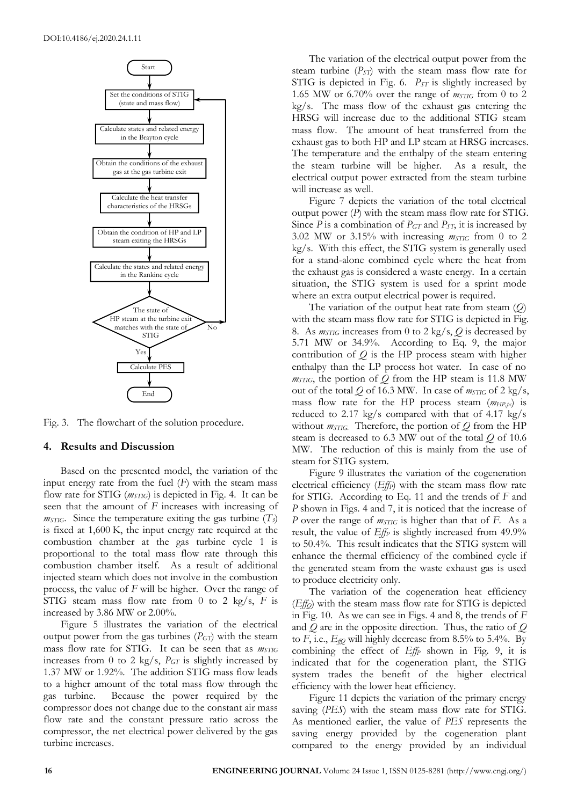

Fig. 3. The flowchart of the solution procedure.

#### **4. Results and Discussion**

Based on the presented model, the variation of the input energy rate from the fuel (*F*) with the steam mass flow rate for STIG (*mSTIG*) is depicted in Fig. 4. It can be seen that the amount of *F* increases with increasing of *m* $STIG$ . Since the temperature exiting the gas turbine  $(T_3)$ is fixed at 1,600 K, the input energy rate required at the combustion chamber at the gas turbine cycle 1 is proportional to the total mass flow rate through this combustion chamber itself. As a result of additional injected steam which does not involve in the combustion process, the value of *F* will be higher. Over the range of STIG steam mass flow rate from 0 to 2 kg/s, *F* is increased by 3.86 MW or 2.00%.

Figure 5 illustrates the variation of the electrical output power from the gas turbines  $(P<sub>GT</sub>)$  with the steam mass flow rate for STIG. It can be seen that as *mSTIG* increases from 0 to 2 kg/s, *PGT* is slightly increased by 1.37 MW or 1.92%. The addition STIG mass flow leads to a higher amount of the total mass flow through the gas turbine. Because the power required by the compressor does not change due to the constant air mass flow rate and the constant pressure ratio across the compressor, the net electrical power delivered by the gas turbine increases.

The variation of the electrical output power from the steam turbine  $(P_{ST})$  with the steam mass flow rate for STIG is depicted in Fig. 6. *P<sub>ST</sub>* is slightly increased by 1.65 MW or 6.70% over the range of  $m_{STIG}$  from 0 to 2 kg/s. The mass flow of the exhaust gas entering the HRSG will increase due to the additional STIG steam mass flow. The amount of heat transferred from the exhaust gas to both HP and LP steam at HRSG increases. The temperature and the enthalpy of the steam entering the steam turbine will be higher. As a result, the electrical output power extracted from the steam turbine will increase as well.

Figure 7 depicts the variation of the total electrical output power (*P*) with the steam mass flow rate for STIG. Since *P* is a combination of *PGT* and *PST*, it is increased by 3.02 MW or 3.15% with increasing *mSTIG* from 0 to 2 kg/s. With this effect, the STIG system is generally used for a stand-alone combined cycle where the heat from the exhaust gas is considered a waste energy. In a certain situation, the STIG system is used for a sprint mode where an extra output electrical power is required.

The variation of the output heat rate from steam (*Q*) with the steam mass flow rate for STIG is depicted in Fig. 8. As *mSTIG* increases from 0 to 2 kg/s, *Q* is decreased by 5.71 MW or 34.9%. According to Eq. 9, the major contribution of *Q* is the HP process steam with higher enthalpy than the LP process hot water. In case of no *mSTIG*, the portion of *Q* from the HP steam is 11.8 MW out of the total  $Q$  of 16.3 MW. In case of  $m_{STIG}$  of 2 kg/s, mass flow rate for the HP process steam (*mHP,pc*) is reduced to 2.17 kg/s compared with that of 4.17 kg/s without *mSTIG.* Therefore, the portion of *Q* from the HP steam is decreased to 6.3 MW out of the total *Q* of 10.6 MW. The reduction of this is mainly from the use of steam for STIG system.

Figure 9 illustrates the variation of the cogeneration electrical efficiency (*EffP*) with the steam mass flow rate for STIG. According to Eq. 11 and the trends of *F* and *P* shown in Figs. 4 and 7, it is noticed that the increase of *P* over the range of *mSTIG* is higher than that of *F*. As a result, the value of *Eff<sup>P</sup>* is slightly increased from 49.9% to 50.4%. This result indicates that the STIG system will enhance the thermal efficiency of the combined cycle if the generated steam from the waste exhaust gas is used to produce electricity only.

The variation of the cogeneration heat efficiency (*EffQ*) with the steam mass flow rate for STIG is depicted in Fig. 10. As we can see in Figs. 4 and 8, the trends of *F* and *Q* are in the opposite direction. Thus, the ratio of *Q* to  $F$ , i.e.,  $E_{f\sharp Q}$  will highly decrease from 8.5% to 5.4%. By combining the effect of *Eff<sup>P</sup>* shown in Fig. 9, it is indicated that for the cogeneration plant, the STIG system trades the benefit of the higher electrical efficiency with the lower heat efficiency.

Figure 11 depicts the variation of the primary energy saving (*PES*) with the steam mass flow rate for STIG. As mentioned earlier, the value of *PES* represents the saving energy provided by the cogeneration plant compared to the energy provided by an individual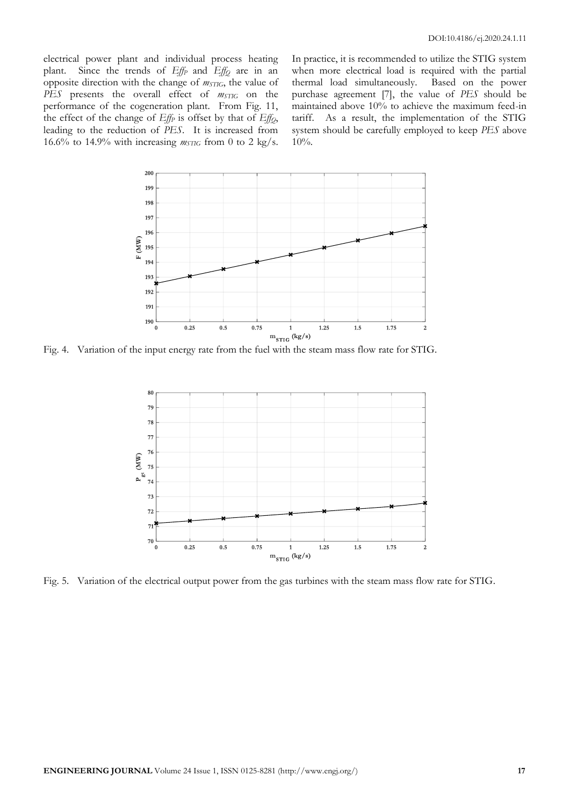electrical power plant and individual process heating plant. Since the trends of *Eff<sup>P</sup>* and *Eff<sup>Q</sup>* are in an opposite direction with the change of *mSTIG*, the value of *PES* presents the overall effect of *mSTIG* on the performance of the cogeneration plant. From Fig. 11, the effect of the change of *Eff<sup>P</sup>* is offset by that of *EffQ*, leading to the reduction of *PES*. It is increased from 16.6% to 14.9% with increasing  $m_{\text{STIG}}$  from 0 to 2 kg/s.

In practice, it is recommended to utilize the STIG system when more electrical load is required with the partial thermal load simultaneously. Based on the power purchase agreement [7], the value of *PES* should be maintained above 10% to achieve the maximum feed-in tariff. As a result, the implementation of the STIG system should be carefully employed to keep *PES* above 10%.



Fig. 4. Variation of the input energy rate from the fuel with the steam mass flow rate for STIG.



Fig. 5. Variation of the electrical output power from the gas turbines with the steam mass flow rate for STIG.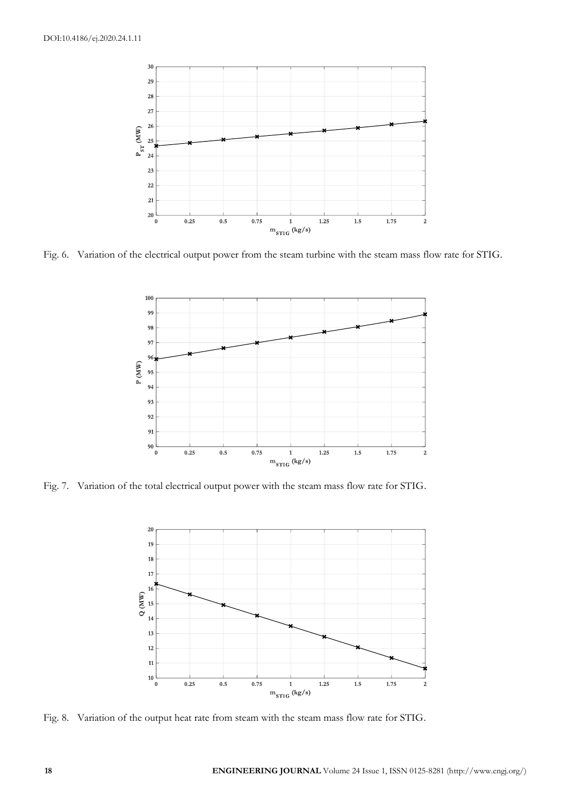

Fig. 6. Variation of the electrical output power from the steam turbine with the steam mass flow rate for STIG.



Fig. 7. Variation of the total electrical output power with the steam mass flow rate for STIG.



Fig. 8. Variation of the output heat rate from steam with the steam mass flow rate for STIG.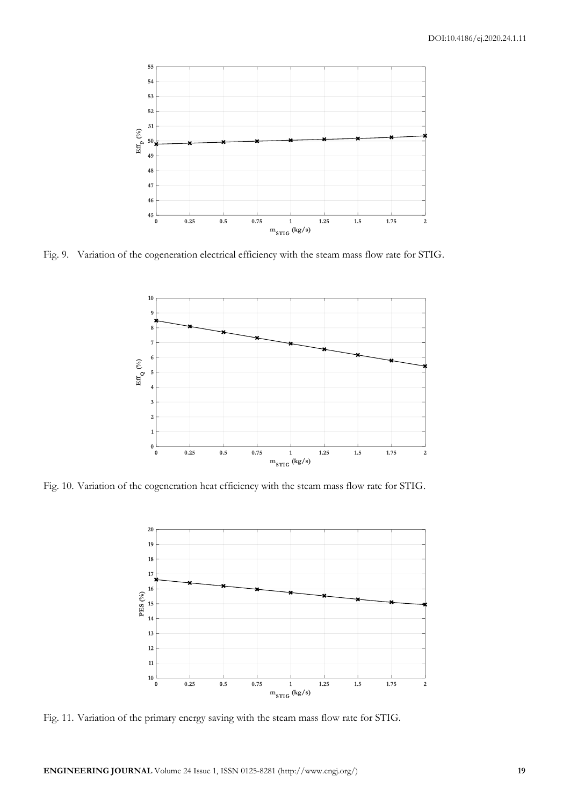

Fig. 9. Variation of the cogeneration electrical efficiency with the steam mass flow rate for STIG.



Fig. 10. Variation of the cogeneration heat efficiency with the steam mass flow rate for STIG.



Fig. 11. Variation of the primary energy saving with the steam mass flow rate for STIG.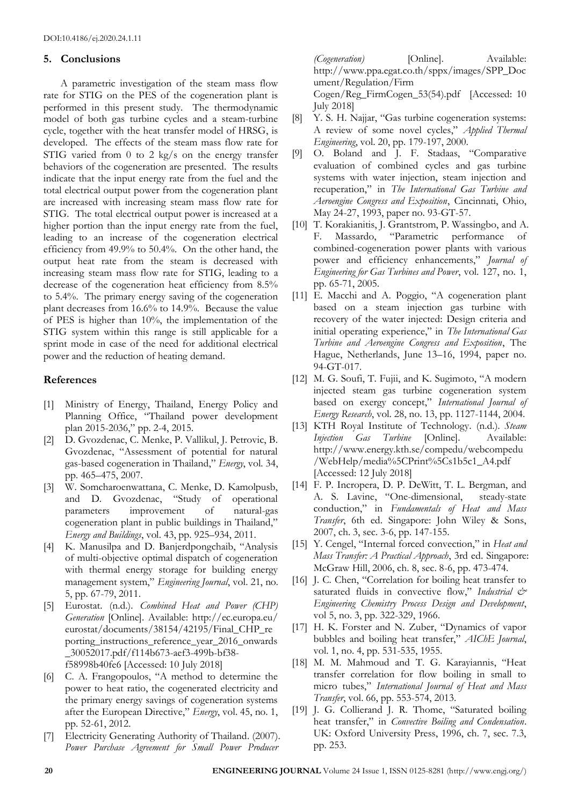## **5. Conclusions**

A parametric investigation of the steam mass flow rate for STIG on the PES of the cogeneration plant is performed in this present study. The thermodynamic model of both gas turbine cycles and a steam-turbine cycle, together with the heat transfer model of HRSG, is developed. The effects of the steam mass flow rate for STIG varied from 0 to 2 kg/s on the energy transfer behaviors of the cogeneration are presented. The results indicate that the input energy rate from the fuel and the total electrical output power from the cogeneration plant are increased with increasing steam mass flow rate for STIG. The total electrical output power is increased at a higher portion than the input energy rate from the fuel, leading to an increase of the cogeneration electrical efficiency from 49.9% to 50.4%. On the other hand, the output heat rate from the steam is decreased with increasing steam mass flow rate for STIG, leading to a decrease of the cogeneration heat efficiency from 8.5% to 5.4%. The primary energy saving of the cogeneration plant decreases from 16.6% to 14.9%. Because the value of PES is higher than 10%, the implementation of the STIG system within this range is still applicable for a sprint mode in case of the need for additional electrical power and the reduction of heating demand.

## **References**

- [1] Ministry of Energy, Thailand, Energy Policy and Planning Office, "Thailand power development plan 2015-2036," pp. 2-4, 2015.
- [2] D. Gvozdenac, C. Menke, P. Vallikul, J. Petrovic, B. Gvozdenac, "Assessment of potential for natural gas-based cogeneration in Thailand," *Energy*, vol. 34, pp. 465–475, 2007.
- [3] W. Somcharoenwattana, C. Menke, D. Kamolpusb, and D. Gvozdenac, "Study of operational parameters improvement of natural-gas cogeneration plant in public buildings in Thailand," *Energy and Buildings*, vol. 43, pp. 925–934, 2011.
- [4] K. Manusilpa and D. Banjerdpongchaib, "Analysis of multi-objective optimal dispatch of cogeneration with thermal energy storage for building energy management system," *Engineering Journal*, vol. 21, no. 5, pp. 67-79, 2011.
- [5] Eurostat. (n.d.). *Combined Heat and Power (CHP) Generation* [Online]. Available: http://ec.europa.eu/ eurostat/documents/38154/42195/Final\_CHP\_re porting\_instructions\_reference\_year\_2016\_onwards \_30052017.pdf/f114b673-aef3-499b-bf38 f58998b40fe6 [Accessed: 10 July 2018]
- [6] C. A. Frangopoulos, "A method to determine the power to heat ratio, the cogenerated electricity and the primary energy savings of cogeneration systems after the European Directive," *Energy*, vol. 45, no. 1, pp. 52-61, 2012.
- [7] Electricity Generating Authority of Thailand. (2007). *Power Purchase Agreement for Small Power Producer*

*(Cogeneration)* [Online]. Available: http://www.ppa.egat.co.th/sppx/images/SPP\_Doc ument/Regulation/Firm Cogen/Reg\_FirmCogen\_53(54).pdf [Accessed: 10 July 2018]

- [8] Y. S. H. Najjar, "Gas turbine cogeneration systems: A review of some novel cycles," *Applied Thermal Engineering*, vol. 20, pp. 179-197, 2000.
- [9] O. Boland and J. F. Stadaas, "Comparative evaluation of combined cycles and gas turbine systems with water injection, steam injection and recuperation," in *The International Gas Turbine and Aeroengine Congress and Exposition*, Cincinnati, Ohio, May 24-27, 1993, paper no. 93-GT-57.
- [10] T. Korakianitis, J. Grantstrom, P. Wassingbo, and A. F. Massardo, "Parametric performance of combined-cogeneration power plants with various power and efficiency enhancements," *Journal of Engineering for Gas Turbines and Power*, vol. 127, no. 1, pp. 65-71, 2005.
- [11] E. Macchi and A. Poggio, "A cogeneration plant based on a steam injection gas turbine with recovery of the water injected: Design criteria and initial operating experience," in *The International Gas Turbine and Aeroengine Congress and Exposition*, The Hague, Netherlands, June 13–16, 1994, paper no. 94-GT-017.
- [12] M. G. Soufi, T. Fujii, and K. Sugimoto, "A modern injected steam gas turbine cogeneration system based on exergy concept," *International Journal of Energy Research*, vol. 28, no. 13, pp. 1127-1144, 2004.
- [13] KTH Royal Institute of Technology. (n.d.). *Steam Injection Gas Turbine* [Online]. Available: http://www.energy.kth.se/compedu/webcompedu /WebHelp/media%5CPrint%5Cs1b5c1\_A4.pdf [Accessed: 12 July 2018]
- [14] F. P. Incropera, D. P. DeWitt, T. L. Bergman, and A. S. Lavine, "One-dimensional, steady-state conduction," in *Fundamentals of Heat and Mass Transfer*, 6th ed. Singapore: John Wiley & Sons, 2007, ch. 3, sec. 3-6, pp. 147-155.
- [15] Y. Cengel, "Internal forced convection," in *Heat and Mass Transfer: A Practical Approach*, 3rd ed. Singapore: McGraw Hill, 2006, ch. 8, sec. 8-6, pp. 473-474.
- [16] J. C. Chen, "Correlation for boiling heat transfer to saturated fluids in convective flow," Industrial & *Engineering Chemistry Process Design and Development*, vol 5, no. 3, pp. 322-329, 1966.
- [17] H. K. Forster and N. Zuber, "Dynamics of vapor bubbles and boiling heat transfer," *AIChE Journal*, vol. 1, no. 4, pp. 531-535, 1955.
- [18] M. M. Mahmoud and T. G. Karayiannis, "Heat transfer correlation for flow boiling in small to micro tubes," *International Journal of Heat and Mass Transfer*, vol. 66, pp. 553-574, 2013.
- [19] J. G. Collierand J. R. Thome, "Saturated boiling heat transfer," in *Convective Boiling and Condensation*. UK: Oxford University Press, 1996, ch. 7, sec. 7.3, pp. 253.